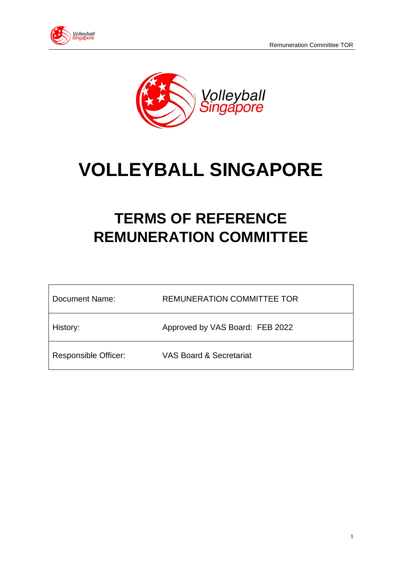



# **VOLLEYBALL SINGAPORE**

# **TERMS OF REFERENCE REMUNERATION COMMITTEE**

| Document Name:              | <b>REMUNERATION COMMITTEE TOR</b>  |
|-----------------------------|------------------------------------|
| History:                    | Approved by VAS Board: FEB 2022    |
| <b>Responsible Officer:</b> | <b>VAS Board &amp; Secretariat</b> |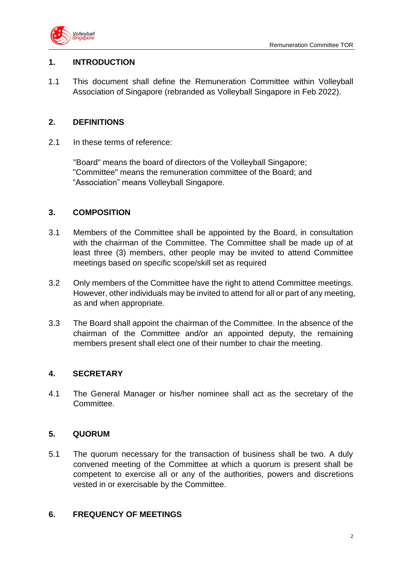

# **1. INTRODUCTION**

1.1 This document shall define the Remuneration Committee within Volleyball Association of Singapore (rebranded as Volleyball Singapore in Feb 2022).

## **2. DEFINITIONS**

2.1 In these terms of reference:

"Board" means the board of directors of the Volleyball Singapore; "Committee" means the remuneration committee of the Board; and "Association" means Volleyball Singapore.

# **3. COMPOSITION**

- 3.1 Members of the Committee shall be appointed by the Board, in consultation with the chairman of the Committee. The Committee shall be made up of at least three (3) members, other people may be invited to attend Committee meetings based on specific scope/skill set as required
- 3.2 Only members of the Committee have the right to attend Committee meetings. However, other individuals may be invited to attend for all or part of any meeting, as and when appropriate.
- 3.3 The Board shall appoint the chairman of the Committee. In the absence of the chairman of the Committee and/or an appointed deputy, the remaining members present shall elect one of their number to chair the meeting.

#### **4. SECRETARY**

4.1 The General Manager or his/her nominee shall act as the secretary of the Committee.

#### **5. QUORUM**

5.1 The quorum necessary for the transaction of business shall be two. A duly convened meeting of the Committee at which a quorum is present shall be competent to exercise all or any of the authorities, powers and discretions vested in or exercisable by the Committee.

#### **6. FREQUENCY OF MEETINGS**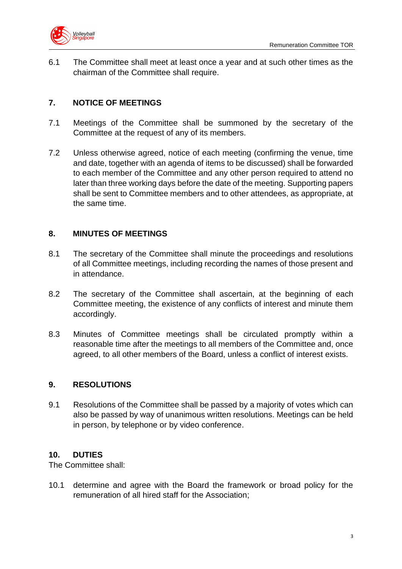

6.1 The Committee shall meet at least once a year and at such other times as the chairman of the Committee shall require.

# **7. NOTICE OF MEETINGS**

- 7.1 Meetings of the Committee shall be summoned by the secretary of the Committee at the request of any of its members.
- 7.2 Unless otherwise agreed, notice of each meeting (confirming the venue, time and date, together with an agenda of items to be discussed) shall be forwarded to each member of the Committee and any other person required to attend no later than three working days before the date of the meeting. Supporting papers shall be sent to Committee members and to other attendees, as appropriate, at the same time.

# **8. MINUTES OF MEETINGS**

- 8.1 The secretary of the Committee shall minute the proceedings and resolutions of all Committee meetings, including recording the names of those present and in attendance.
- 8.2 The secretary of the Committee shall ascertain, at the beginning of each Committee meeting, the existence of any conflicts of interest and minute them accordingly.
- 8.3 Minutes of Committee meetings shall be circulated promptly within a reasonable time after the meetings to all members of the Committee and, once agreed, to all other members of the Board, unless a conflict of interest exists.

#### **9. RESOLUTIONS**

9.1 Resolutions of the Committee shall be passed by a majority of votes which can also be passed by way of unanimous written resolutions. Meetings can be held in person, by telephone or by video conference.

# **10. DUTIES**

The Committee shall:

10.1 determine and agree with the Board the framework or broad policy for the remuneration of all hired staff for the Association;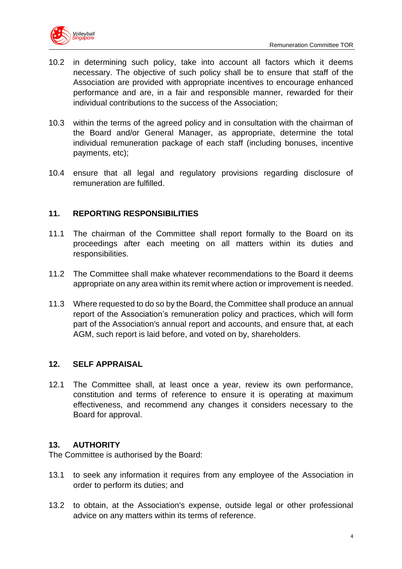

- 10.2 in determining such policy, take into account all factors which it deems necessary. The objective of such policy shall be to ensure that staff of the Association are provided with appropriate incentives to encourage enhanced performance and are, in a fair and responsible manner, rewarded for their individual contributions to the success of the Association;
- 10.3 within the terms of the agreed policy and in consultation with the chairman of the Board and/or General Manager, as appropriate, determine the total individual remuneration package of each staff (including bonuses, incentive payments, etc);
- 10.4 ensure that all legal and regulatory provisions regarding disclosure of remuneration are fulfilled.

# **11. REPORTING RESPONSIBILITIES**

- 11.1 The chairman of the Committee shall report formally to the Board on its proceedings after each meeting on all matters within its duties and responsibilities.
- 11.2 The Committee shall make whatever recommendations to the Board it deems appropriate on any area within its remit where action or improvement is needed.
- 11.3 Where requested to do so by the Board, the Committee shall produce an annual report of the Association's remuneration policy and practices, which will form part of the Association's annual report and accounts, and ensure that, at each AGM, such report is laid before, and voted on by, shareholders.

#### **12. SELF APPRAISAL**

12.1 The Committee shall, at least once a year, review its own performance, constitution and terms of reference to ensure it is operating at maximum effectiveness, and recommend any changes it considers necessary to the Board for approval.

#### **13. AUTHORITY**

The Committee is authorised by the Board:

- 13.1 to seek any information it requires from any employee of the Association in order to perform its duties; and
- 13.2 to obtain, at the Association's expense, outside legal or other professional advice on any matters within its terms of reference.